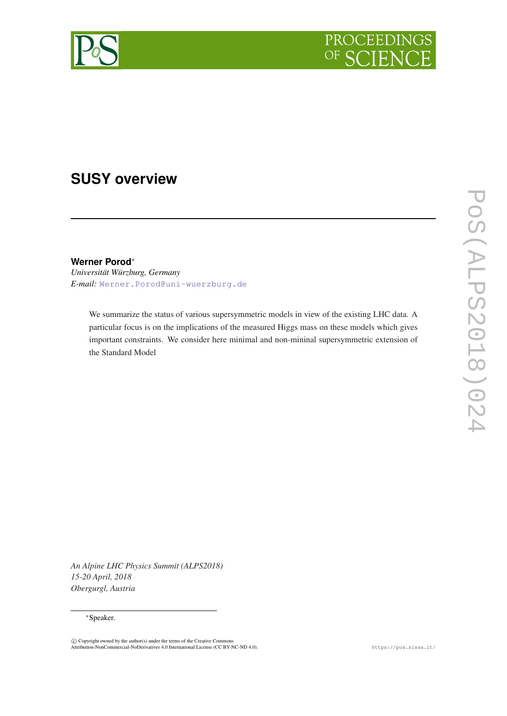



# **SUSY overview**

**Werner Porod**<sup>∗</sup>

*Universität Würzburg, Germany E-mail:* [Werner.Porod@uni-wuerzburg.de](mailto:Werner.Porod@uni-wuerzburg.de)

> We summarize the status of various supersymmetric models in view of the existing LHC data. A particular focus is on the implications of the measured Higgs mass on these models which gives important constraints. We consider here minimal and non-mininal supersymmetric extension of the Standard Model

*An Alpine LHC Physics Summit (ALPS2018) 15-20 April, 2018 Obergurgl, Austria*

#### <sup>∗</sup>Speaker.

<sup>©</sup> Copyright owned by the author(s) under the terms of the Creative Commons<br>Attribution-NonCommercial-NoDerivatives 4.0 International License (CC BY-NC-ND 4.0). https://pos.sissa.it/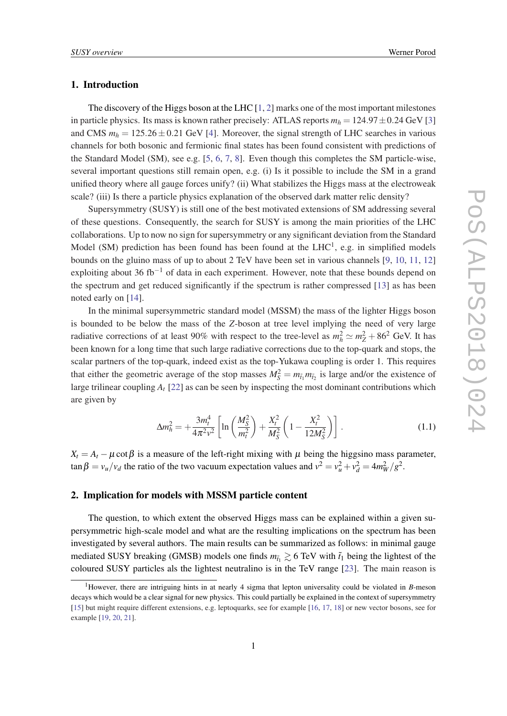## 1. Introduction

The discovery of the Higgs boson at the LHC [[1](#page-6-0), [2](#page-6-0)] marks one of the most important milestones in particle physics. Its mass is known rather precisely: ATLAS reports  $m_h = 124.97 \pm 0.24$  GeV [[3](#page-6-0)] and CMS  $m_h = 125.26 \pm 0.21$  GeV [\[4\]](#page-6-0). Moreover, the signal strength of LHC searches in various channels for both bosonic and fermionic final states has been found consistent with predictions of the Standard Model (SM), see e.g. [[5](#page-6-0), [6,](#page-6-0) [7](#page-6-0), [8](#page-6-0)]. Even though this completes the SM particle-wise, several important questions still remain open, e.g. (i) Is it possible to include the SM in a grand unified theory where all gauge forces unify? (ii) What stabilizes the Higgs mass at the electroweak scale? (iii) Is there a particle physics explanation of the observed dark matter relic density?

Supersymmetry (SUSY) is still one of the best motivated extensions of SM addressing several of these questions. Consequently, the search for SUSY is among the main priorities of the LHC collaborations. Up to now no sign for supersymmetry or any significant deviation from the Standard Model (SM) prediction has been found has been found at the  $LHC<sup>1</sup>$ , e.g. in simplified models bounds on the gluino mass of up to about 2 TeV have been set in various channels [[9](#page-6-0), [10,](#page-6-0) [11,](#page-6-0) [12](#page-6-0)] exploiting about 36 fb<sup>-1</sup> of data in each experiment. However, note that these bounds depend on the spectrum and get reduced significantly if the spectrum is rather compressed [[13\]](#page-6-0) as has been noted early on [\[14](#page-6-0)].

In the minimal supersymmetric standard model (MSSM) the mass of the lighter Higgs boson is bounded to be below the mass of the *Z*-boson at tree level implying the need of very large radiative corrections of at least 90% with respect to the tree-level as  $m_h^2 \simeq m_Z^2 + 86^2$  GeV. It has been known for a long time that such large radiative corrections due to the top-quark and stops, the scalar partners of the top-quark, indeed exist as the top-Yukawa coupling is order 1. This requires that either the geometric average of the stop masses  $M_S^2 = m_{\tilde{t}_1} m_{\tilde{t}_2}$  is large and/or the existence of large trilinear coupling *A<sup>t</sup>* [[22\]](#page-6-0) as can be seen by inspecting the most dominant contributions which are given by

$$
\Delta m_h^2 = +\frac{3m_t^4}{4\pi^2 v^2} \left[ \ln \left( \frac{M_S^2}{m_t^2} \right) + \frac{X_t^2}{M_S^2} \left( 1 - \frac{X_t^2}{12M_S^2} \right) \right].
$$
 (1.1)

 $X_t = A_t - \mu \cot \beta$  is a measure of the left-right mixing with  $\mu$  being the higgsino mass parameter,  $\tan \beta = v_u/v_d$  the ratio of the two vacuum expectation values and  $v^2 = v_u^2 + v_d^2 = 4m_W^2/g^2$ .

### 2. Implication for models with MSSM particle content

The question, to which extent the observed Higgs mass can be explained within a given supersymmetric high-scale model and what are the resulting implications on the spectrum has been investigated by several authors. The main results can be summarized as follows: in minimal gauge mediated SUSY breaking (GMSB) models one finds  $m_{\tilde{t}_1} \gtrsim 6 \text{ TeV}$  with  $\tilde{t}_1$  being the lightest of the coloured SUSY particles als the lightest neutralino is in the TeV range [[23](#page-6-0)]. The main reason is

<sup>1</sup>However, there are intriguing hints in at nearly 4 sigma that lepton universality could be violated in *B*-meson decays which would be a clear signal for new physics. This could partially be explained in the context of supersymmetry [\[15](#page-6-0)] but might require different extensions, e.g. leptoquarks, see for example [[16,](#page-6-0) [17,](#page-6-0) [18](#page-6-0)] or new vector bosons, see for example [[19,](#page-6-0) [20](#page-6-0), [21\]](#page-6-0).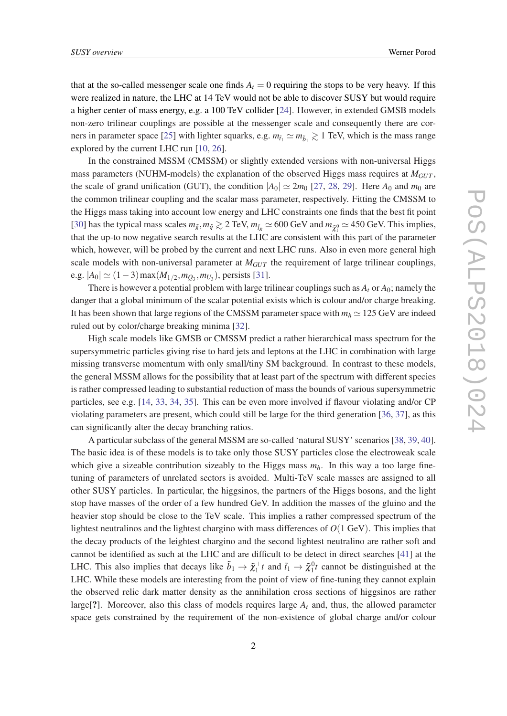that at the so-called messenger scale one finds  $A_t = 0$  requiring the stops to be very heavy. If this were realized in nature, the LHC at 14 TeV would not be able to discover SUSY but would require a higher center of mass energy, e.g. a 100 TeV collider [\[24](#page-6-0)]. However, in extended GMSB models non-zero trilinear couplings are possible at the messenger scale and consequently there are cor-ners in parameter space [\[25](#page-6-0)] with lighter squarks, e.g.  $m_{\tilde{t}_1} \simeq m_{\tilde{b}_1} \gtrsim 1$  TeV, which is the mass range explored by the current LHC run [[10,](#page-6-0) [26](#page-6-0)].

In the constrained MSSM (CMSSM) or slightly extended versions with non-universal Higgs mass parameters (NUHM-models) the explanation of the observed Higgs mass requires at *MGUT* , the scale of grand unification (GUT), the condition  $|A_0| \simeq 2m_0$  [[27](#page-6-0), [28](#page-6-0), [29](#page-7-0)]. Here  $A_0$  and  $m_0$  are the common trilinear coupling and the scalar mass parameter, respectively. Fitting the CMSSM to the Higgs mass taking into account low energy and LHC constraints one finds that the best fit point [[30\]](#page-7-0) has the typical mass scales  $m_{\tilde{g}}, m_{\tilde{q}} \gtrsim 2 \text{ TeV}, m_{\tilde{l}_R} \simeq 600 \text{ GeV}$  and  $m_{\tilde{\chi}_1^0} \simeq 450 \text{ GeV}$ . This implies, that the up-to now negative search results at the LHC are consistent with this part of the parameter which, however, will be probed by the current and next LHC runs. Also in even more general high scale models with non-universal parameter at  $M_{GUT}$  the requirement of large trilinear couplings, e.g.  $|A_0|$  ≥ (1 − 3) max( $M_{1/2}$ ,  $m_{Q_3}$ ,  $m_{U_3}$ ), persists [[31](#page-7-0)].

There is however a potential problem with large trilinear couplings such as  $A_t$  or  $A_0$ ; namely the danger that a global minimum of the scalar potential exists which is colour and/or charge breaking. It has been shown that large regions of the CMSSM parameter space with  $m_h \approx 125$  GeV are indeed ruled out by color/charge breaking minima [\[32](#page-7-0)].

High scale models like GMSB or CMSSM predict a rather hierarchical mass spectrum for the supersymmetric particles giving rise to hard jets and leptons at the LHC in combination with large missing transverse momentum with only small/tiny SM background. In contrast to these models, the general MSSM allows for the possibility that at least part of the spectrum with different species is rather compressed leading to substantial reduction of mass the bounds of various supersymmetric particles, see e.g. [[14,](#page-6-0) [33,](#page-7-0) [34](#page-7-0), [35](#page-7-0)]. This can be even more involved if flavour violating and/or CP violating parameters are present, which could still be large for the third generation [\[36](#page-7-0), [37](#page-7-0)], as this can significantly alter the decay branching ratios.

A particular subclass of the general MSSM are so-called 'natural SUSY' scenarios [\[38](#page-7-0), [39,](#page-7-0) [40\]](#page-7-0). The basic idea is of these models is to take only those SUSY particles close the electroweak scale which give a sizeable contribution sizeably to the Higgs mass  $m_h$ . In this way a too large finetuning of parameters of unrelated sectors is avoided. Multi-TeV scale masses are assigned to all other SUSY particles. In particular, the higgsinos, the partners of the Higgs bosons, and the light stop have masses of the order of a few hundred GeV. In addition the masses of the gluino and the heavier stop should be close to the TeV scale. This implies a rather compressed spectrum of the lightest neutralinos and the lightest chargino with mass differences of *O*(1 GeV). This implies that the decay products of the leightest chargino and the second lightest neutralino are rather soft and cannot be identified as such at the LHC and are difficult to be detect in direct searches [\[41\]](#page-7-0) at the LHC. This also implies that decays like  $\tilde{b}_1 \to \tilde{\chi}_1^+ t$  and  $\tilde{t}_1 \to \tilde{\chi}_1^0 t$  cannot be distinguished at the LHC. While these models are interesting from the point of view of fine-tuning they cannot explain the observed relic dark matter density as the annihilation cross sections of higgsinos are rather large<sup>[?]</sup>. Moreover, also this class of models requires large  $A_t$  and, thus, the allowed parameter space gets constrained by the requirement of the non-existence of global charge and/or colour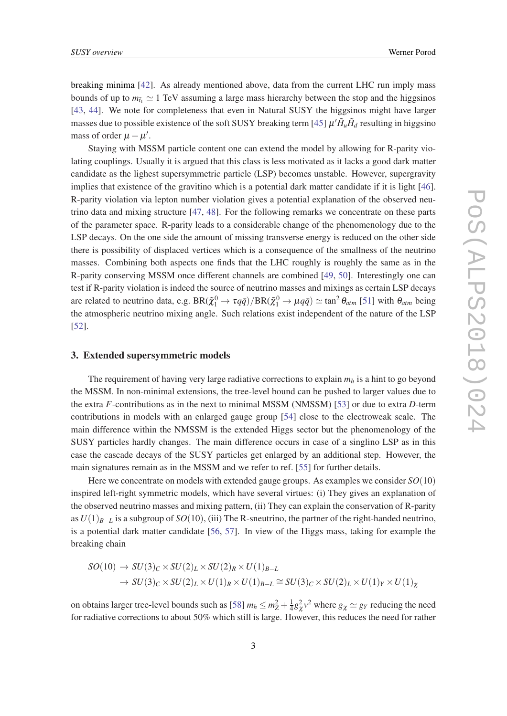breaking minima [\[42](#page-7-0)]. As already mentioned above, data from the current LHC run imply mass bounds of up to  $m_{\tilde{t}_1} \simeq 1$  TeV assuming a large mass hierarchy between the stop and the higgsinos [[43,](#page-7-0) [44](#page-7-0)]. We note for completeness that even in Natural SUSY the higgsinos might have larger masses due to possible existence of the soft SUSY breaking term [\[45\]](#page-7-0)  $\mu' \tilde{H}_u \tilde{H}_d$  resulting in higgsino mass of order  $\mu + \mu'$ .

Staying with MSSM particle content one can extend the model by allowing for R-parity violating couplings. Usually it is argued that this class is less motivated as it lacks a good dark matter candidate as the lighest supersymmetric particle (LSP) becomes unstable. However, supergravity implies that existence of the gravitino which is a potential dark matter candidate if it is light [[46\]](#page-7-0). R-parity violation via lepton number violation gives a potential explanation of the observed neutrino data and mixing structure [[47,](#page-7-0) [48\]](#page-7-0). For the following remarks we concentrate on these parts of the parameter space. R-parity leads to a considerable change of the phenomenology due to the LSP decays. On the one side the amount of missing transverse energy is reduced on the other side there is possibility of displaced vertices which is a consequence of the smallness of the neutrino masses. Combining both aspects one finds that the LHC roughly is roughly the same as in the R-parity conserving MSSM once different channels are combined [[49,](#page-7-0) [50](#page-7-0)]. Interestingly one can test if R-parity violation is indeed the source of neutrino masses and mixings as certain LSP decays are related to neutrino data, e.g.  $BR(\tilde{\chi}_1^0 \to \tau q \bar{q})/BR(\tilde{\chi}_1^0 \to \mu q \bar{q}) \simeq \tan^2 \theta_{atm}$  [[51\]](#page-7-0) with  $\theta_{atm}$  being the atmospheric neutrino mixing angle. Such relations exist independent of the nature of the LSP [[52\]](#page-7-0).

#### 3. Extended supersymmetric models

The requirement of having very large radiative corrections to explain *m<sup>h</sup>* is a hint to go beyond the MSSM. In non-minimal extensions, the tree-level bound can be pushed to larger values due to the extra *F*-contributions as in the next to minimal MSSM (NMSSM) [[53\]](#page-7-0) or due to extra *D*-term contributions in models with an enlarged gauge group [\[54](#page-7-0)] close to the electroweak scale. The main difference within the NMSSM is the extended Higgs sector but the phenomenology of the SUSY particles hardly changes. The main difference occurs in case of a singlino LSP as in this case the cascade decays of the SUSY particles get enlarged by an additional step. However, the main signatures remain as in the MSSM and we refer to ref. [[55\]](#page-7-0) for further details.

Here we concentrate on models with extended gauge groups. As examples we consider *SO*(10) inspired left-right symmetric models, which have several virtues: (i) They gives an explanation of the observed neutrino masses and mixing pattern, (ii) They can explain the conservation of R-parity as *U*(1)*B*−*<sup>L</sup>* is a subgroup of *SO*(10), (iii) The R-sneutrino, the partner of the right-handed neutrino, is a potential dark matter candidate [\[56](#page-7-0), [57](#page-7-0)]. In view of the Higgs mass, taking for example the breaking chain

$$
SO(10) \to SU(3)_C \times SU(2)_L \times SU(2)_R \times U(1)_{B-L}
$$
  

$$
\to SU(3)_C \times SU(2)_L \times U(1)_R \times U(1)_{B-L} \cong SU(3)_C \times SU(2)_L \times U(1)_Y \times U(1)_X
$$

on obtains larger tree-level bounds such as [[58\]](#page-7-0)  $m_h \le m_Z^2 + \frac{1}{4}$  $\frac{1}{4}g_{\chi}^2 v^2$  where  $g_{\chi} \simeq g_{\chi}$  reducing the need for radiative corrections to about 50% which still is large. However, this reduces the need for rather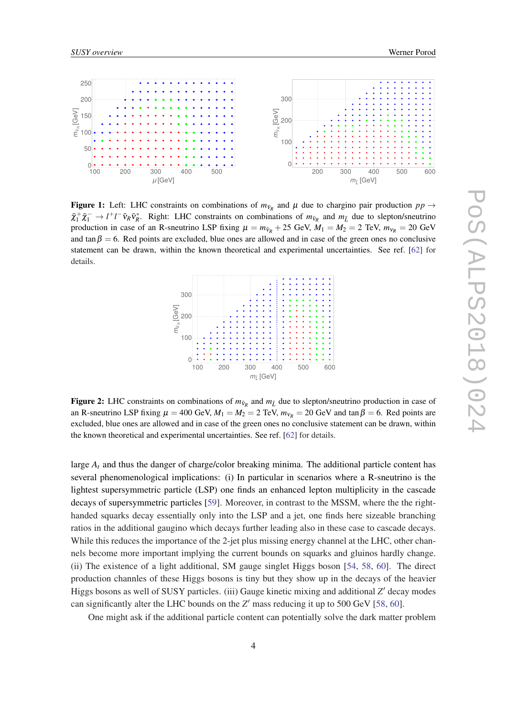<span id="page-4-0"></span>

Figure 1: Left: LHC constraints on combinations of  $m_{\tilde{v}_R}$  and  $\mu$  due to chargino pair production  $pp \rightarrow$  $\tilde{\chi}_1^+ \tilde{\chi}_1^- \to l^+l^- \tilde{v}_R \tilde{v}_R^*$ . Right: LHC constraints on combinations of  $m_{\tilde{v}_R}$  and  $m_{\tilde{L}}$  due to slepton/sneutrino production in case of an R-sneutrino LSP fixing  $\mu = m_{\tilde{\nu}_R} + 25$  GeV,  $M_1 = M_2 = 2$  TeV,  $m_{\tilde{\nu}_R} = 20$  GeV and tan $\beta = 6$ . Red points are excluded, blue ones are allowed and in case of the green ones no conclusive statement can be drawn, within the known theoretical and experimental uncertainties. See ref. [\[62](#page-8-0)] for details.



Figure 2: LHC constraints on combinations of  $m_{\tilde{v}_R}$  and  $m_{\tilde{L}}$  due to slepton/sneutrino production in case of an R-sneutrino LSP fixing  $\mu = 400$  GeV,  $M_1 = M_2 = 2$  TeV,  $m_{V_R} = 20$  GeV and tan  $\beta = 6$ . Red points are excluded, blue ones are allowed and in case of the green ones no conclusive statement can be drawn, within the known theoretical and experimental uncertainties. See ref. [[62\]](#page-8-0) for details.

large *A<sup>t</sup>* and thus the danger of charge/color breaking minima. The additional particle content has several phenomenological implications: (i) In particular in scenarios where a R-sneutrino is the lightest supersymmetric particle (LSP) one finds an enhanced lepton multiplicity in the cascade decays of supersymmetric particles [[59\]](#page-7-0). Moreover, in contrast to the MSSM, where the the righthanded squarks decay essentially only into the LSP and a jet, one finds here sizeable branching ratios in the additional gaugino which decays further leading also in these case to cascade decays. While this reduces the importance of the 2-jet plus missing energy channel at the LHC, other channels become more important implying the current bounds on squarks and gluinos hardly change. (ii) The existence of a light additional, SM gauge singlet Higgs boson [\[54](#page-7-0), [58,](#page-7-0) [60](#page-7-0)]. The direct production channles of these Higgs bosons is tiny but they show up in the decays of the heavier Higgs bosons as well of SUSY particles. (iii) Gauge kinetic mixing and additional Z' decay modes can significantly alter the LHC bounds on the  $Z'$  mass reducing it up to 500 GeV [[58,](#page-7-0) [60\]](#page-7-0).

One might ask if the additional particle content can potentially solve the dark matter problem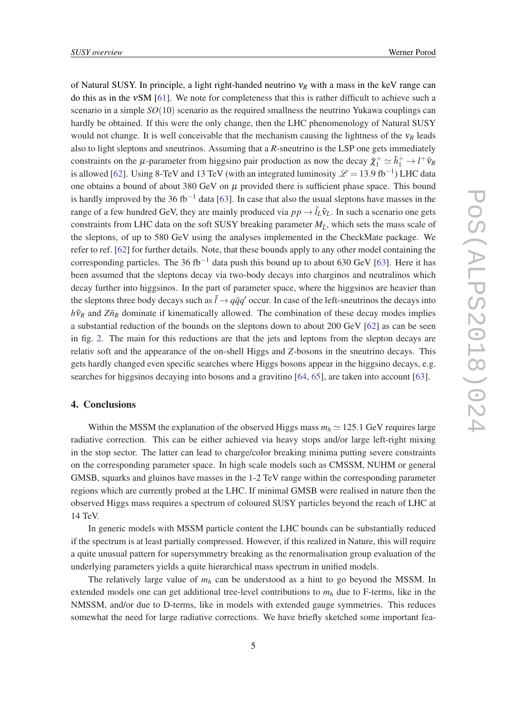of Natural SUSY. In principle, a light right-handed neutrino ν*<sup>R</sup>* with a mass in the keV range can do this as in the νSM [[61\]](#page-8-0). We note for completeness that this is rather difficult to achieve such a scenario in a simple *SO*(10) scenario as the required smallness the neutrino Yukawa couplings can hardly be obtained. If this were the only change, then the LHC phenomenology of Natural SUSY would not change. It is well conceivable that the mechanism causing the lightness of the  $v_R$  leads also to light sleptons and sneutrinos. Assuming that a *R*-sneutrino is the LSP one gets immediately constraints on the  $\mu$ -parameter from higgsino pair production as now the decay  $\tilde{\chi}_1^+ \simeq \tilde{h}_1^+ \to l^+ \tilde{v}_R$ is allowed [\[62](#page-8-0)]. Using 8-TeV and 13 TeV (with an integrated luminosity  $\mathscr{L} = 13.9 \text{ fb}^{-1}$ ) LHC data one obtains a bound of about 380 GeV on  $\mu$  provided there is sufficient phase space. This bound is hardly improved by the 36 fb<sup>-1</sup> data [[63\]](#page-8-0). In case that also the usual sleptons have masses in the range of a few hundred GeV, they are mainly produced via  $pp \rightarrow \tilde{l}_L \tilde{v}_L$ . In such a scenario one gets constraints from LHC data on the soft SUSY breaking parameter  $M_{\tilde{I}}$ , which sets the mass scale of the sleptons, of up to 580 GeV using the analyses implemented in the CheckMate package. We refer to ref. [[62\]](#page-8-0) for further details. Note, that these bounds apply to any other model containing the corresponding particles. The 36 fb<sup>-1</sup> data push this bound up to about [63](#page-8-0)0 GeV [63]. Here it has been assumed that the sleptons decay via two-body decays into charginos and neutralinos which decay further into higgsinos. In the part of parameter space, where the higgsinos are heavier than the sleptons three body decays such as  $\tilde{l} \rightarrow q\bar{q}q'$  occur. In case of the left-sneutrinos the decays into  $h\tilde{v}_R$  and  $Z\tilde{n}_R$  dominate if kinematically allowed. The combination of these decay modes implies a substantial reduction of the bounds on the sleptons down to about 200 GeV [[62\]](#page-8-0) as can be seen in fig. [2](#page-4-0). The main for this reductions are that the jets and leptons from the slepton decays are relativ soft and the appearance of the on-shell Higgs and *Z*-bosons in the sneutrino decays. This gets hardly changed even specific searches where Higgs bosons appear in the higgsino decays, e.g. searches for higgsinos decaying into bosons and a gravitino [\[64](#page-8-0), [65\]](#page-8-0), are taken into account [\[63\]](#page-8-0).

# 4. Conclusions

Within the MSSM the explanation of the observed Higgs mass  $m_h \approx 125.1$  GeV requires large radiative correction. This can be either achieved via heavy stops and/or large left-right mixing in the stop sector. The latter can lead to charge/color breaking minima putting severe constraints on the corresponding parameter space. In high scale models such as CMSSM, NUHM or general GMSB, squarks and gluinos have masses in the 1-2 TeV range within the corresponding parameter regions which are currently probed at the LHC. If minimal GMSB were realised in nature then the observed Higgs mass requires a spectrum of coloured SUSY particles beyond the reach of LHC at 14 TeV.

In generic models with MSSM particle content the LHC bounds can be substantially reduced if the spectrum is at least partially compressed. However, if this realized in Nature, this will require a quite unusual pattern for supersymmetry breaking as the renormalisation group evaluation of the underlying parameters yields a quite hierarchical mass spectrum in unified models.

The relatively large value of  $m_h$  can be understood as a hint to go beyond the MSSM. In extended models one can get additional tree-level contributions to *m<sup>h</sup>* due to F-terms, like in the NMSSM, and/or due to D-terms, like in models with extended gauge symmetries. This reduces somewhat the need for large radiative corrections. We have briefly sketched some important fea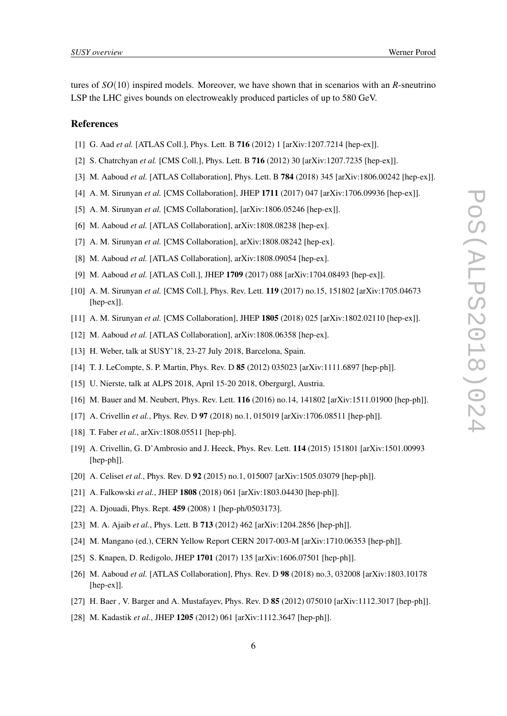<span id="page-6-0"></span>tures of *SO*(10) inspired models. Moreover, we have shown that in scenarios with an *R*-sneutrino LSP the LHC gives bounds on electroweakly produced particles of up to 580 GeV.

#### References

- [1] G. Aad *et al.* [ATLAS Coll.], Phys. Lett. B **716** (2012) 1 [arXiv:1207.7214 [hep-ex]].
- [2] S. Chatrchyan *et al.* [CMS Coll.], Phys. Lett. B 716 (2012) 30 [arXiv:1207.7235 [hep-ex]].
- [3] M. Aaboud *et al.* [ATLAS Collaboration], Phys. Lett. B 784 (2018) 345 [arXiv:1806.00242 [hep-ex]].
- [4] A. M. Sirunyan *et al.* [CMS Collaboration], JHEP 1711 (2017) 047 [arXiv:1706.09936 [hep-ex]].
- [5] A. M. Sirunyan *et al.* [CMS Collaboration], [arXiv:1806.05246 [hep-ex]].
- [6] M. Aaboud *et al.* [ATLAS Collaboration], arXiv:1808.08238 [hep-ex].
- [7] A. M. Sirunyan *et al.* [CMS Collaboration], arXiv:1808.08242 [hep-ex].
- [8] M. Aaboud *et al.* [ATLAS Collaboration], arXiv:1808.09054 [hep-ex].
- [9] M. Aaboud *et al.* [ATLAS Coll.], JHEP **1709** (2017) 088 [arXiv:1704.08493 [hep-ex]].
- [10] A. M. Sirunyan *et al.* [CMS Coll.], Phys. Rev. Lett. 119 (2017) no.15, 151802 [arXiv:1705.04673 [hep-ex]].
- [11] A. M. Sirunyan *et al.* [CMS Collaboration], JHEP 1805 (2018) 025 [arXiv:1802.02110 [hep-ex]].
- [12] M. Aaboud *et al.* [ATLAS Collaboration], arXiv:1808.06358 [hep-ex].
- [13] H. Weber, talk at SUSY'18, 23-27 July 2018, Barcelona, Spain.
- [14] T. J. LeCompte, S. P. Martin, Phys. Rev. D 85 (2012) 035023 [arXiv:1111.6897 [hep-ph]].
- [15] U. Nierste, talk at ALPS 2018, April 15-20 2018, Obergurgl, Austria.
- [16] M. Bauer and M. Neubert, Phys. Rev. Lett. 116 (2016) no.14, 141802 [arXiv:1511.01900 [hep-ph]].
- [17] A. Crivellin *et al.*, Phys. Rev. D 97 (2018) no.1, 015019 [arXiv:1706.08511 [hep-ph]].
- [18] T. Faber *et al.*, arXiv:1808.05511 [hep-ph].
- [19] A. Crivellin, G. D'Ambrosio and J. Heeck, Phys. Rev. Lett. 114 (2015) 151801 [arXiv:1501.00993 [hep-ph]].
- [20] A. Celiset *et al.*, Phys. Rev. D 92 (2015) no.1, 015007 [arXiv:1505.03079 [hep-ph]].
- [21] A. Falkowski *et al.*, JHEP 1808 (2018) 061 [arXiv:1803.04430 [hep-ph]].
- [22] A. Diouadi, Phys. Rept. 459 (2008) 1 [hep-ph/0503173].
- [23] M. A. Ajaib *et al.*, Phys. Lett. B **713** (2012) 462 [arXiv:1204.2856 [hep-ph]].
- [24] M. Mangano (ed.), CERN Yellow Report CERN 2017-003-M [arXiv:1710.06353 [hep-ph]].
- [25] S. Knapen, D. Redigolo, JHEP 1701 (2017) 135 [arXiv:1606.07501 [hep-ph]].
- [26] M. Aaboud *et al.* [ATLAS Collaboration], Phys. Rev. D 98 (2018) no.3, 032008 [arXiv:1803.10178 [hep-ex]].
- [27] H. Baer, V. Barger and A. Mustafayev, Phys. Rev. D **85** (2012) 075010 [arXiv:1112.3017 [hep-ph]].
- [28] M. Kadastik et al., JHEP **1205** (2012) 061 [arXiv:1112.3647 [hep-ph]].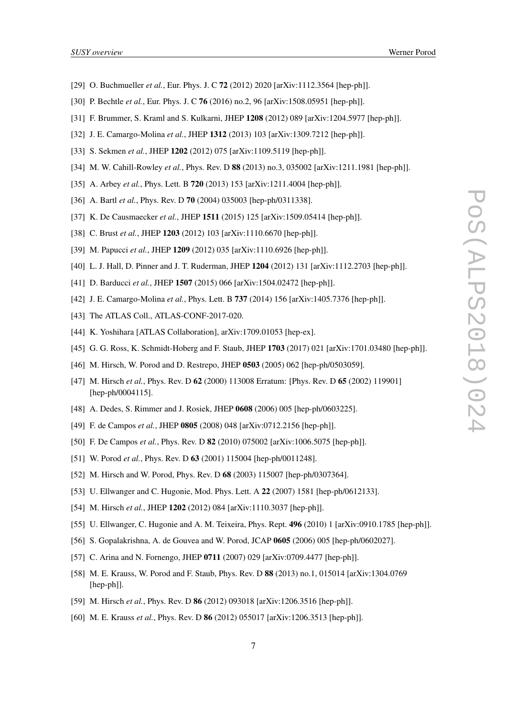- <span id="page-7-0"></span>[29] O. Buchmueller *et al.*, Eur. Phys. J. C 72 (2012) 2020 [arXiv:1112.3564 [hep-ph]].
- [30] P. Bechtle *et al.*, Eur. Phys. J. C 76 (2016) no.2, 96 [arXiv:1508.05951 [hep-ph]].
- [31] F. Brummer, S. Kraml and S. Kulkarni, JHEP 1208 (2012) 089 [arXiv:1204.5977 [hep-ph]].
- [32] J. E. Camargo-Molina *et al.*, JHEP 1312 (2013) 103 [arXiv:1309.7212 [hep-ph]].
- [33] S. Sekmen *et al.*, JHEP 1202 (2012) 075 [arXiv:1109.5119 [hep-ph]].
- [34] M. W. Cahill-Rowley *et al.*, Phys. Rev. D 88 (2013) no.3, 035002 [arXiv:1211.1981 [hep-ph]].
- [35] A. Arbey *et al.*, Phys. Lett. B **720** (2013) 153 [arXiv:1211.4004 [hep-ph]].
- [36] A. Bartl *et al.*, Phys. Rev. D 70 (2004) 035003 [hep-ph/0311338].
- [37] K. De Causmaecker *et al.*, JHEP 1511 (2015) 125 [arXiv:1509.05414 [hep-ph]].
- [38] C. Brust *et al.*, JHEP **1203** (2012) 103 [arXiv:1110.6670 [hep-ph]].
- [39] M. Papucci *et al.*, JHEP **1209** (2012) 035 [arXiv:1110.6926 [hep-ph]].
- [40] L. J. Hall, D. Pinner and J. T. Ruderman, JHEP 1204 (2012) 131 [arXiv:1112.2703 [hep-ph]].
- [41] D. Barducci *et al.*, JHEP **1507** (2015) 066 [arXiv:1504.02472 [hep-ph]].
- [42] J. E. Camargo-Molina *et al.*, Phys. Lett. B 737 (2014) 156 [arXiv:1405.7376 [hep-ph]].
- [43] The ATLAS Coll., ATLAS-CONF-2017-020.
- [44] K. Yoshihara [ATLAS Collaboration], arXiv:1709.01053 [hep-ex].
- [45] G. G. Ross, K. Schmidt-Hoberg and F. Staub, JHEP 1703 (2017) 021 [arXiv:1701.03480 [hep-ph]].
- [46] M. Hirsch, W. Porod and D. Restrepo, JHEP 0503 (2005) 062 [hep-ph/0503059].
- [47] M. Hirsch *et al.*, Phys. Rev. D 62 (2000) 113008 Erratum: [Phys. Rev. D 65 (2002) 119901] [hep-ph/0004115].
- [48] A. Dedes, S. Rimmer and J. Rosiek, JHEP 0608 (2006) 005 [hep-ph/0603225].
- [49] F. de Campos *et al.*, JHEP 0805 (2008) 048 [arXiv:0712.2156 [hep-ph]].
- [50] F. De Campos *et al.*, Phys. Rev. D **82** (2010) 075002 [arXiv:1006.5075 [hep-ph]].
- [51] W. Porod *et al.*, Phys. Rev. D **63** (2001) 115004 [hep-ph/0011248].
- [52] M. Hirsch and W. Porod, Phys. Rev. D 68 (2003) 115007 [hep-ph/0307364].
- [53] U. Ellwanger and C. Hugonie, Mod. Phys. Lett. A 22 (2007) 1581 [hep-ph/0612133].
- [54] M. Hirsch *et al.*, JHEP **1202** (2012) 084 [arXiv:1110.3037 [hep-ph]].
- [55] U. Ellwanger, C. Hugonie and A. M. Teixeira, Phys. Rept. 496 (2010) 1 [arXiv:0910.1785 [hep-ph]].
- [56] S. Gopalakrishna, A. de Gouvea and W. Porod, JCAP 0605 (2006) 005 [hep-ph/0602027].
- [57] C. Arina and N. Fornengo, JHEP 0711 (2007) 029 [arXiv:0709.4477 [hep-ph]].
- [58] M. E. Krauss, W. Porod and F. Staub, Phys. Rev. D 88 (2013) no.1, 015014 [arXiv:1304.0769 [hep-ph]].
- [59] M. Hirsch *et al.*, Phys. Rev. D 86 (2012) 093018 [arXiv:1206.3516 [hep-ph]].
- [60] M. E. Krauss *et al.*, Phys. Rev. D **86** (2012) 055017 [arXiv:1206.3513 [hep-ph]].